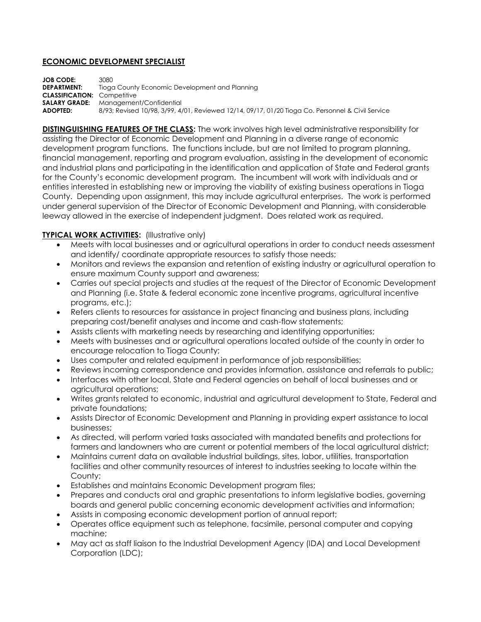## **ECONOMIC DEVELOPMENT SPECIALIST**

**JOB CODE:** 3080 **DEPARTMENT:** Tioga County Economic Development and Planning **CLASSIFICATION:** Competitive **SALARY GRADE:** Management/Confidential **ADOPTED:** 8/93; Revised 10/98, 3/99, 4/01, Reviewed 12/14, 09/17, 01/20 Tioga Co. Personnel & Civil Service

**DISTINGUISHING FEATURES OF THE CLASS:** The work involves high level administrative responsibility for assisting the Director of Economic Development and Planning in a diverse range of economic development program functions. The functions include, but are not limited to program planning, financial management, reporting and program evaluation, assisting in the development of economic and industrial plans and participating in the identification and application of State and Federal grants for the County's economic development program. The incumbent will work with individuals and or entities interested in establishing new or improving the viability of existing business operations in Tioga County. Depending upon assignment, this may include agricultural enterprises. The work is performed under general supervision of the Director of Economic Development and Planning, with considerable leeway allowed in the exercise of independent judgment. Does related work as required.

## **TYPICAL WORK ACTIVITIES:** (Illustrative only)

- Meets with local businesses and or agricultural operations in order to conduct needs assessment and identify/ coordinate appropriate resources to satisfy those needs;
- Monitors and reviews the expansion and retention of existing industry or agricultural operation to ensure maximum County support and awareness;
- Carries out special projects and studies at the request of the Director of Economic Development and Planning (i.e. State & federal economic zone incentive programs, agricultural incentive programs, etc.);
- Refers clients to resources for assistance in project financing and business plans, including preparing cost/benefit analyses and income and cash-flow statements;
- Assists clients with marketing needs by researching and identifying opportunities;
- Meets with businesses and or agricultural operations located outside of the county in order to encourage relocation to Tioga County;
- Uses computer and related equipment in performance of job responsibilities;
- Reviews incoming correspondence and provides information, assistance and referrals to public;
- Interfaces with other local, State and Federal agencies on behalf of local businesses and or agricultural operations;
- Writes grants related to economic, industrial and agricultural development to State, Federal and private foundations;
- Assists Director of Economic Development and Planning in providing expert assistance to local businesses;
- As directed, will perform varied tasks associated with mandated benefits and protections for farmers and landowners who are current or potential members of the local agricultural district;
- Maintains current data on available industrial buildings, sites, labor, utilities, transportation facilities and other community resources of interest to industries seeking to locate within the County;
- Establishes and maintains Economic Development program files;
- Prepares and conducts oral and graphic presentations to inform legislative bodies, governing boards and general public concerning economic development activities and information;
- Assists in composing economic development portion of annual report;
- Operates office equipment such as telephone, facsimile, personal computer and copying machine;
- May act as staff liaison to the Industrial Development Agency (IDA) and Local Development Corporation (LDC);